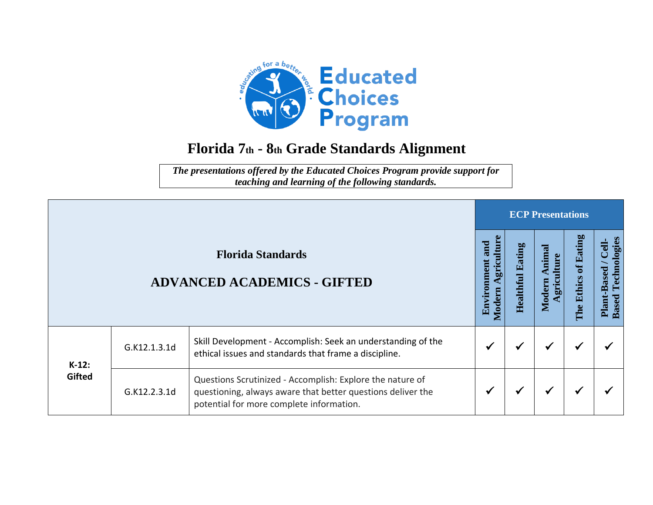

## **Florida 7th - 8th Grade Standards Alignment**

*The presentations offered by the Educated Choices Program provide support for teaching and learning of the following standards.*

|          |              |                                                                                                                                                                      |                                             |                            | <b>ECP Presentations</b>           |                                   |                                                      |
|----------|--------------|----------------------------------------------------------------------------------------------------------------------------------------------------------------------|---------------------------------------------|----------------------------|------------------------------------|-----------------------------------|------------------------------------------------------|
|          |              | <b>Florida Standards</b><br><b>ADVANCED ACADEMICS - GIFTED</b>                                                                                                       | Agriculture<br>and<br>Environment<br>Modern | Eating<br><b>Healthful</b> | himal<br>ulture<br>Modern<br>grici | of Eating<br><b>Ethics</b><br>The | Technologies<br>Cell-<br>Plant-Based<br><b>Based</b> |
| $K-12$ : | G.K12.1.3.1d | Skill Development - Accomplish: Seek an understanding of the<br>ethical issues and standards that frame a discipline.                                                |                                             |                            | ✔                                  |                                   |                                                      |
| Gifted   | G.K12.2.3.1d | Questions Scrutinized - Accomplish: Explore the nature of<br>questioning, always aware that better questions deliver the<br>potential for more complete information. |                                             |                            | ✔                                  | ✔                                 |                                                      |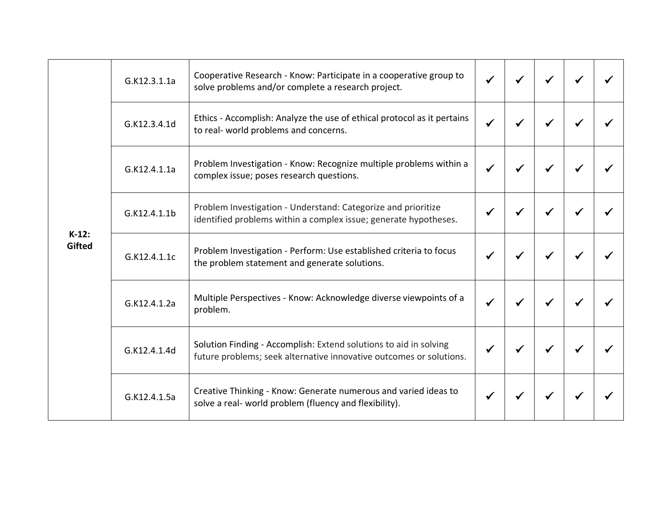|                           | G.K12.3.1.1a | Cooperative Research - Know: Participate in a cooperative group to<br>solve problems and/or complete a research project.                 |  |  |  |
|---------------------------|--------------|------------------------------------------------------------------------------------------------------------------------------------------|--|--|--|
|                           | G.K12.3.4.1d | Ethics - Accomplish: Analyze the use of ethical protocol as it pertains<br>to real- world problems and concerns.                         |  |  |  |
|                           | G.K12.4.1.1a | Problem Investigation - Know: Recognize multiple problems within a<br>complex issue; poses research questions.                           |  |  |  |
|                           | G.K12.4.1.1b | Problem Investigation - Understand: Categorize and prioritize<br>identified problems within a complex issue; generate hypotheses.        |  |  |  |
| $K-12$ :<br><b>Gifted</b> | G.K12.4.1.1c | Problem Investigation - Perform: Use established criteria to focus<br>the problem statement and generate solutions.                      |  |  |  |
|                           | G.K12.4.1.2a | Multiple Perspectives - Know: Acknowledge diverse viewpoints of a<br>problem.                                                            |  |  |  |
|                           | G.K12.4.1.4d | Solution Finding - Accomplish: Extend solutions to aid in solving<br>future problems; seek alternative innovative outcomes or solutions. |  |  |  |
|                           | G.K12.4.1.5a | Creative Thinking - Know: Generate numerous and varied ideas to<br>solve a real- world problem (fluency and flexibility).                |  |  |  |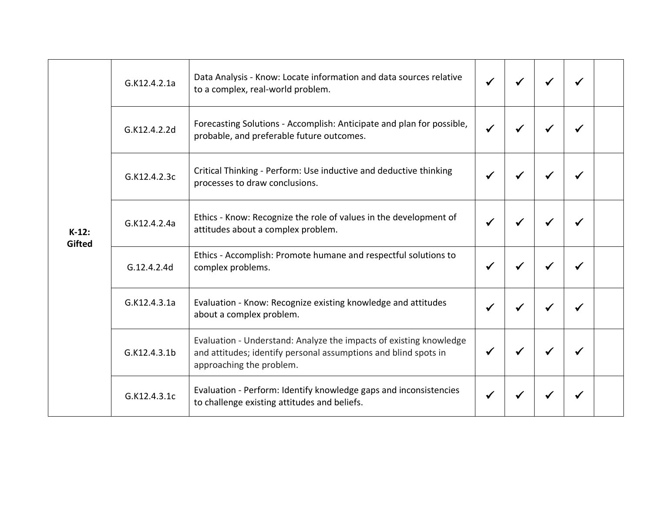| $K-12:$<br><b>Gifted</b> | G.K12.4.2.1a | Data Analysis - Know: Locate information and data sources relative<br>to a complex, real-world problem.                                                           |  | ✔ | ✔ |  |
|--------------------------|--------------|-------------------------------------------------------------------------------------------------------------------------------------------------------------------|--|---|---|--|
|                          | G.K12.4.2.2d | Forecasting Solutions - Accomplish: Anticipate and plan for possible,<br>probable, and preferable future outcomes.                                                |  |   | ✔ |  |
|                          | G.K12.4.2.3c | Critical Thinking - Perform: Use inductive and deductive thinking<br>processes to draw conclusions.                                                               |  | ✔ | √ |  |
|                          | G.K12.4.2.4a | Ethics - Know: Recognize the role of values in the development of<br>attitudes about a complex problem.                                                           |  |   |   |  |
|                          | G.12.4.2.4d  | Ethics - Accomplish: Promote humane and respectful solutions to<br>complex problems.                                                                              |  | √ |   |  |
|                          | G.K12.4.3.1a | Evaluation - Know: Recognize existing knowledge and attitudes<br>about a complex problem.                                                                         |  | √ | ✔ |  |
|                          | G.K12.4.3.1b | Evaluation - Understand: Analyze the impacts of existing knowledge<br>and attitudes; identify personal assumptions and blind spots in<br>approaching the problem. |  |   |   |  |
|                          | G.K12.4.3.1c | Evaluation - Perform: Identify knowledge gaps and inconsistencies<br>to challenge existing attitudes and beliefs.                                                 |  |   |   |  |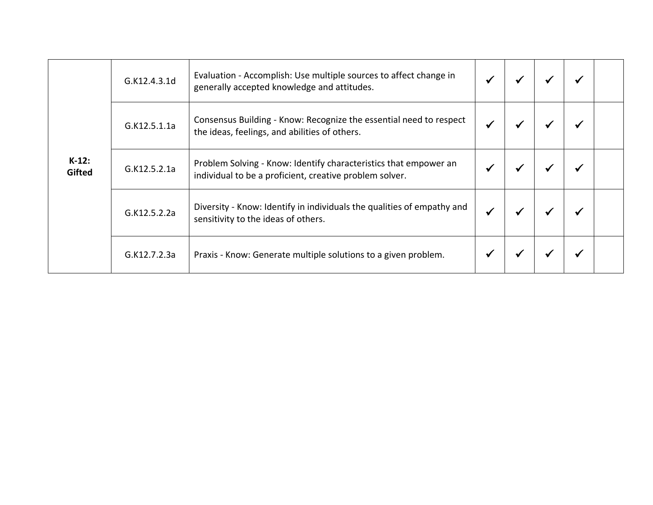|                           | G.K12.4.3.1d | Evaluation - Accomplish: Use multiple sources to affect change in<br>generally accepted knowledge and attitudes.            |  |  |  |
|---------------------------|--------------|-----------------------------------------------------------------------------------------------------------------------------|--|--|--|
| $K-12$ :<br><b>Gifted</b> | G.K12.5.1.1a | Consensus Building - Know: Recognize the essential need to respect<br>the ideas, feelings, and abilities of others.         |  |  |  |
|                           | G.K12.5.2.1a | Problem Solving - Know: Identify characteristics that empower an<br>individual to be a proficient, creative problem solver. |  |  |  |
|                           | G.K12.5.2.2a | Diversity - Know: Identify in individuals the qualities of empathy and<br>sensitivity to the ideas of others.               |  |  |  |
|                           | G.K12.7.2.3a | Praxis - Know: Generate multiple solutions to a given problem.                                                              |  |  |  |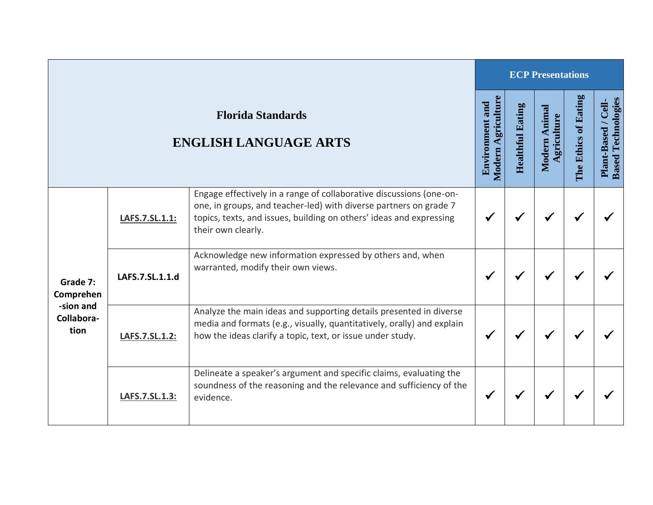|                                 |                 |                                                                                                                                                                                                                                       |                                              |                         | <b>ECP Presentations</b>       |                      |                                                  |
|---------------------------------|-----------------|---------------------------------------------------------------------------------------------------------------------------------------------------------------------------------------------------------------------------------------|----------------------------------------------|-------------------------|--------------------------------|----------------------|--------------------------------------------------|
|                                 |                 | <b>Florida Standards</b><br><b>ENGLISH LANGUAGE ARTS</b>                                                                                                                                                                              | Modern Agriculture<br><b>Environment and</b> | <b>Healthful Eating</b> | Animal<br>griculture<br>Modern | The Ethics of Eating | <b>Based Technologies</b><br>Plant-Based / Cell- |
|                                 | LAFS.7.SL.1.1:  | Engage effectively in a range of collaborative discussions (one-on-<br>one, in groups, and teacher-led) with diverse partners on grade 7<br>topics, texts, and issues, building on others' ideas and expressing<br>their own clearly. |                                              |                         |                                |                      |                                                  |
| Grade 7:<br>Comprehen           | LAFS.7.SL.1.1.d | Acknowledge new information expressed by others and, when<br>warranted, modify their own views.                                                                                                                                       |                                              |                         |                                |                      |                                                  |
| -sion and<br>Collabora-<br>tion | LAFS.7.SL.1.2:  | Analyze the main ideas and supporting details presented in diverse<br>media and formats (e.g., visually, quantitatively, orally) and explain<br>how the ideas clarify a topic, text, or issue under study.                            |                                              |                         |                                |                      |                                                  |
|                                 | LAFS.7.SL.1.3:  | Delineate a speaker's argument and specific claims, evaluating the<br>soundness of the reasoning and the relevance and sufficiency of the<br>evidence.                                                                                |                                              |                         | ✔                              |                      |                                                  |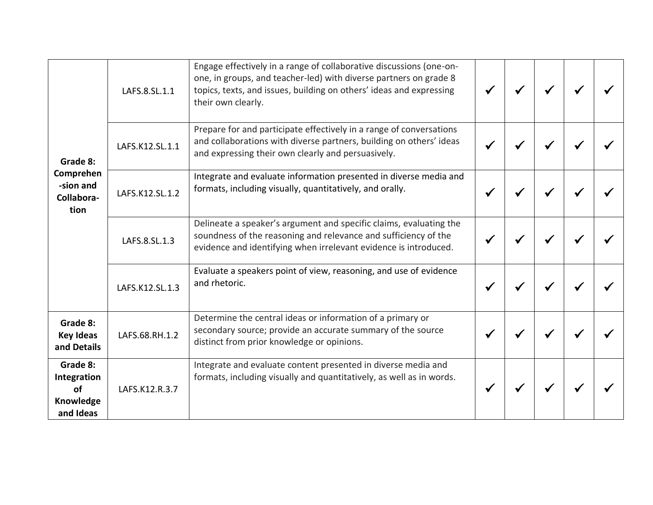| Grade 8:<br>Comprehen<br>-sion and<br>Collabora-<br>tion | LAFS.8.SL.1.1   | Engage effectively in a range of collaborative discussions (one-on-<br>one, in groups, and teacher-led) with diverse partners on grade 8<br>topics, texts, and issues, building on others' ideas and expressing<br>their own clearly. |  |  |  |
|----------------------------------------------------------|-----------------|---------------------------------------------------------------------------------------------------------------------------------------------------------------------------------------------------------------------------------------|--|--|--|
|                                                          | LAFS.K12.SL.1.1 | Prepare for and participate effectively in a range of conversations<br>and collaborations with diverse partners, building on others' ideas<br>and expressing their own clearly and persuasively.                                      |  |  |  |
|                                                          | LAFS.K12.SL.1.2 | Integrate and evaluate information presented in diverse media and<br>formats, including visually, quantitatively, and orally.                                                                                                         |  |  |  |
|                                                          | LAFS.8.SL.1.3   | Delineate a speaker's argument and specific claims, evaluating the<br>soundness of the reasoning and relevance and sufficiency of the<br>evidence and identifying when irrelevant evidence is introduced.                             |  |  |  |
|                                                          | LAFS.K12.SL.1.3 | Evaluate a speakers point of view, reasoning, and use of evidence<br>and rhetoric.                                                                                                                                                    |  |  |  |
| Grade 8:<br><b>Key Ideas</b><br>and Details              | LAFS.68.RH.1.2  | Determine the central ideas or information of a primary or<br>secondary source; provide an accurate summary of the source<br>distinct from prior knowledge or opinions.                                                               |  |  |  |
| Grade 8:<br>Integration<br>of<br>Knowledge<br>and Ideas  | LAFS.K12.R.3.7  | Integrate and evaluate content presented in diverse media and<br>formats, including visually and quantitatively, as well as in words.                                                                                                 |  |  |  |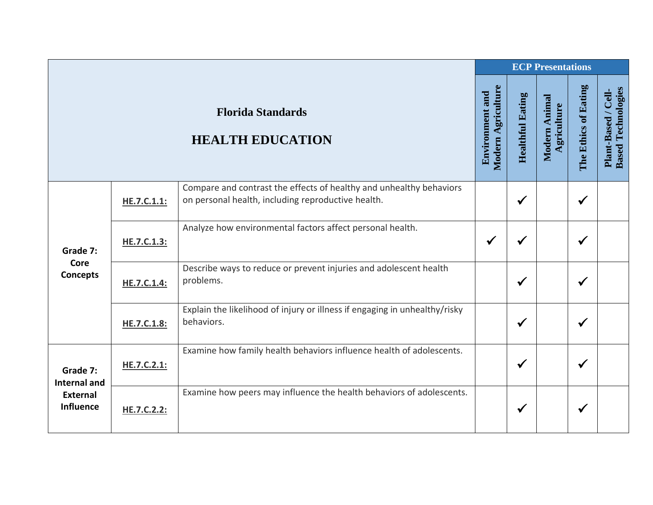|                                                                        |             |                                                                                                                           |                                              |                         | <b>ECP Presentations</b>     |                      |                                                  |
|------------------------------------------------------------------------|-------------|---------------------------------------------------------------------------------------------------------------------------|----------------------------------------------|-------------------------|------------------------------|----------------------|--------------------------------------------------|
|                                                                        |             | <b>Florida Standards</b><br><b>HEALTH EDUCATION</b>                                                                       | Modern Agriculture<br><b>Environment and</b> | <b>Healthful Eating</b> | Modern Animal<br>Agriculture | The Ethics of Eating | <b>Based Technologies</b><br>Plant-Based / Cell- |
| Grade 7:                                                               | HE.7.C.1.1: | Compare and contrast the effects of healthy and unhealthy behaviors<br>on personal health, including reproductive health. |                                              | $\checkmark$            |                              | $\checkmark$         |                                                  |
|                                                                        | HE.7.C.1.3: | Analyze how environmental factors affect personal health.                                                                 | $\checkmark$                                 | ✔                       |                              | $\checkmark$         |                                                  |
| Core<br><b>Concepts</b>                                                | HE.7.C.1.4: | Describe ways to reduce or prevent injuries and adolescent health<br>problems.                                            |                                              | $\checkmark$            |                              | $\checkmark$         |                                                  |
|                                                                        | HE.7.C.1.8: | Explain the likelihood of injury or illness if engaging in unhealthy/risky<br>behaviors.                                  |                                              | $\checkmark$            |                              | $\checkmark$         |                                                  |
| Grade 7:<br><b>Internal and</b><br><b>External</b><br><b>Influence</b> | HE.7.C.2.1: | Examine how family health behaviors influence health of adolescents.                                                      |                                              | $\checkmark$            |                              | $\checkmark$         |                                                  |
|                                                                        | HE.7.C.2.2: | Examine how peers may influence the health behaviors of adolescents.                                                      |                                              | $\checkmark$            |                              | $\checkmark$         |                                                  |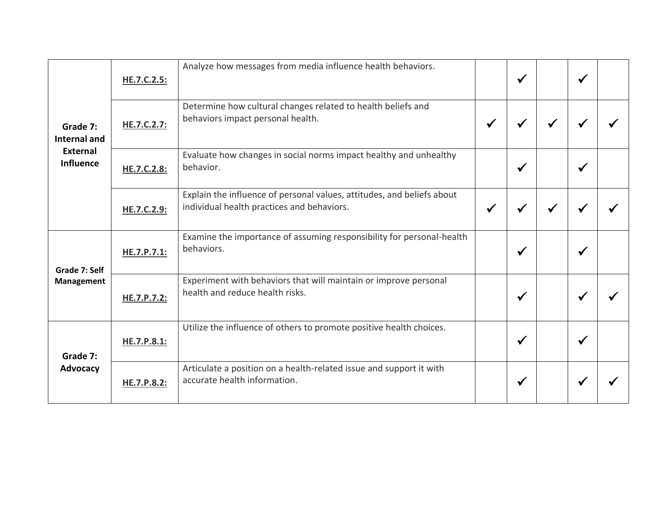| Grade 7:<br>Internal and<br>External<br><b>Influence</b>   | <b>HE.7.C.2.5:</b> | Analyze how messages from media influence health behaviors.                                                          |              | $\checkmark$ |   | ✔ |  |
|------------------------------------------------------------|--------------------|----------------------------------------------------------------------------------------------------------------------|--------------|--------------|---|---|--|
|                                                            | HE.7.C.2.7:        | Determine how cultural changes related to health beliefs and<br>behaviors impact personal health.                    | $\checkmark$ |              | ✔ | √ |  |
|                                                            | HE.7.C.2.8:        | Evaluate how changes in social norms impact healthy and unhealthy<br>behavior.                                       |              | $\checkmark$ |   | √ |  |
|                                                            | <b>HE.7.C.2.9:</b> | Explain the influence of personal values, attitudes, and beliefs about<br>individual health practices and behaviors. | $\checkmark$ | √            |   |   |  |
| Grade 7: Self<br><b>Management</b><br>Grade 7:<br>Advocacy | HE.7.P.7.1:        | Examine the importance of assuming responsibility for personal-health<br>behaviors.                                  |              | $\checkmark$ |   | √ |  |
|                                                            | HE.7.P.7.2:        | Experiment with behaviors that will maintain or improve personal<br>health and reduce health risks.                  |              | $\checkmark$ |   | √ |  |
|                                                            | HE.7.P.8.1:        | Utilize the influence of others to promote positive health choices.                                                  |              | $\checkmark$ |   | √ |  |
|                                                            | HE.7.P.8.2:        | Articulate a position on a health-related issue and support it with<br>accurate health information.                  |              | √            |   |   |  |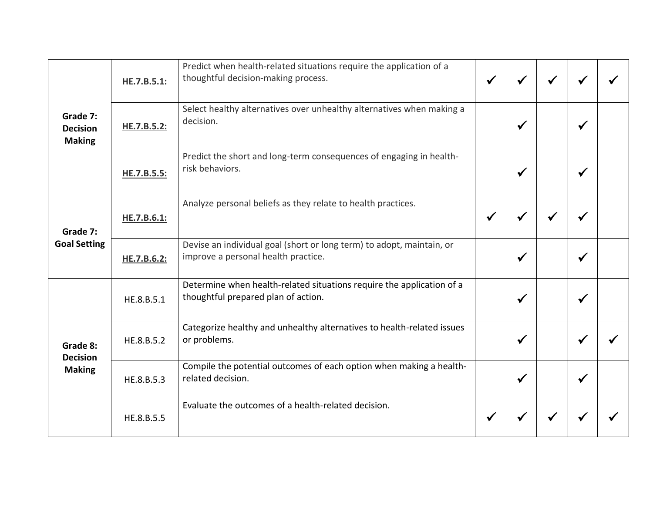| Grade 7:<br><b>Decision</b><br><b>Making</b><br>Grade 7:<br><b>Goal Setting</b><br>Grade 8:<br><b>Decision</b><br><b>Making</b> | HE.7.B.5.1: | Predict when health-related situations require the application of a<br>thoughtful decision-making process.   | $\checkmark$ |              |              |  |
|---------------------------------------------------------------------------------------------------------------------------------|-------------|--------------------------------------------------------------------------------------------------------------|--------------|--------------|--------------|--|
|                                                                                                                                 | HE.7.B.5.2: | Select healthy alternatives over unhealthy alternatives when making a<br>decision.                           |              | $\checkmark$ | $\checkmark$ |  |
|                                                                                                                                 | HE.7.B.5.5: | Predict the short and long-term consequences of engaging in health-<br>risk behaviors.                       |              | $\checkmark$ | ✔            |  |
|                                                                                                                                 | HE.7.B.6.1: | Analyze personal beliefs as they relate to health practices.                                                 | $\checkmark$ | ✔            |              |  |
|                                                                                                                                 | HE.7.B.6.2: | Devise an individual goal (short or long term) to adopt, maintain, or<br>improve a personal health practice. |              | $\checkmark$ | ✔            |  |
|                                                                                                                                 | HE.8.B.5.1  | Determine when health-related situations require the application of a<br>thoughtful prepared plan of action. |              | $\checkmark$ | √            |  |
|                                                                                                                                 | HE.8.B.5.2  | Categorize healthy and unhealthy alternatives to health-related issues<br>or problems.                       |              | $\checkmark$ | √            |  |
|                                                                                                                                 | HE.8.B.5.3  | Compile the potential outcomes of each option when making a health-<br>related decision.                     |              | $\checkmark$ | $\checkmark$ |  |
|                                                                                                                                 | HE.8.B.5.5  | Evaluate the outcomes of a health-related decision.                                                          | $\checkmark$ |              |              |  |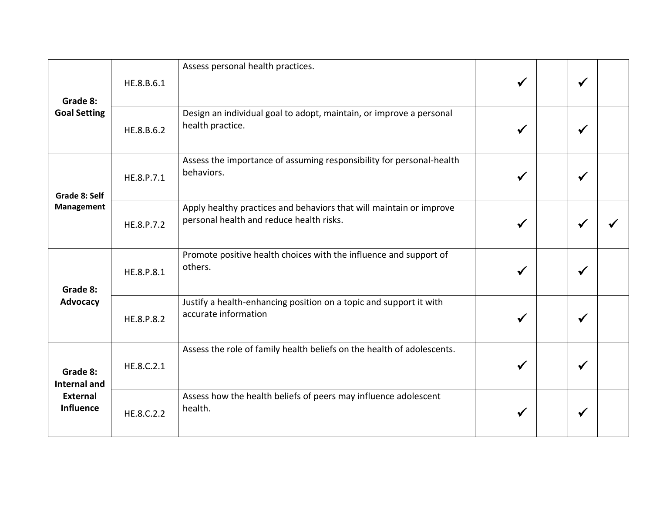| Grade 8:<br><b>Goal Setting</b> | HE.8.B.6.1 | Assess personal health practices.                                                                               | $\checkmark$ | $\checkmark$ |  |
|---------------------------------|------------|-----------------------------------------------------------------------------------------------------------------|--------------|--------------|--|
|                                 | HE.8.B.6.2 | Design an individual goal to adopt, maintain, or improve a personal<br>health practice.                         | $\checkmark$ | √            |  |
| Grade 8: Self                   | HE.8.P.7.1 | Assess the importance of assuming responsibility for personal-health<br>behaviors.                              | $\checkmark$ | √            |  |
| <b>Management</b>               | HE.8.P.7.2 | Apply healthy practices and behaviors that will maintain or improve<br>personal health and reduce health risks. | $\checkmark$ | $\checkmark$ |  |
| Grade 8:                        | HE.8.P.8.1 | Promote positive health choices with the influence and support of<br>others.                                    | $\checkmark$ | ✔            |  |
| <b>Advocacy</b>                 | HE.8.P.8.2 | Justify a health-enhancing position on a topic and support it with<br>accurate information                      | $\checkmark$ | √            |  |
| Grade 8:<br><b>Internal and</b> | HE.8.C.2.1 | Assess the role of family health beliefs on the health of adolescents.                                          | $\checkmark$ | $\checkmark$ |  |
| <b>External</b><br>Influence    | HE.8.C.2.2 | Assess how the health beliefs of peers may influence adolescent<br>health.                                      | ✔            | ✔            |  |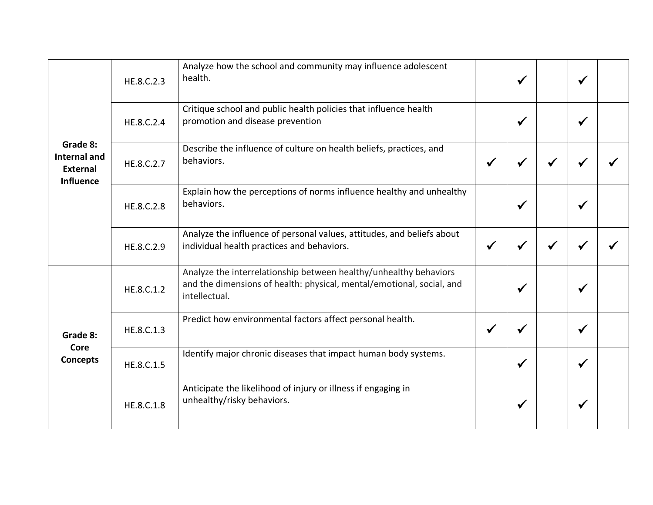| Grade 8:<br><b>Internal and</b><br>External<br><b>Influence</b> | HE.8.C.2.3 | Analyze how the school and community may influence adolescent<br>health.                                                                                    |   | $\checkmark$ | ✔            |  |
|-----------------------------------------------------------------|------------|-------------------------------------------------------------------------------------------------------------------------------------------------------------|---|--------------|--------------|--|
|                                                                 | HE.8.C.2.4 | Critique school and public health policies that influence health<br>promotion and disease prevention                                                        |   | $\checkmark$ | $\checkmark$ |  |
|                                                                 | HE.8.C.2.7 | Describe the influence of culture on health beliefs, practices, and<br>behaviors.                                                                           |   |              |              |  |
|                                                                 | HE.8.C.2.8 | Explain how the perceptions of norms influence healthy and unhealthy<br>behaviors.                                                                          |   | $\checkmark$ |              |  |
|                                                                 | HE.8.C.2.9 | Analyze the influence of personal values, attitudes, and beliefs about<br>individual health practices and behaviors.                                        |   |              |              |  |
| Grade 8:<br>Core<br><b>Concepts</b>                             | HE.8.C.1.2 | Analyze the interrelationship between healthy/unhealthy behaviors<br>and the dimensions of health: physical, mental/emotional, social, and<br>intellectual. |   | $\checkmark$ | √            |  |
|                                                                 | HE.8.C.1.3 | Predict how environmental factors affect personal health.                                                                                                   | ✔ |              | $\checkmark$ |  |
|                                                                 | HE.8.C.1.5 | Identify major chronic diseases that impact human body systems.                                                                                             |   | $\checkmark$ | ✔            |  |
|                                                                 | HE.8.C.1.8 | Anticipate the likelihood of injury or illness if engaging in<br>unhealthy/risky behaviors.                                                                 |   | $\checkmark$ | √            |  |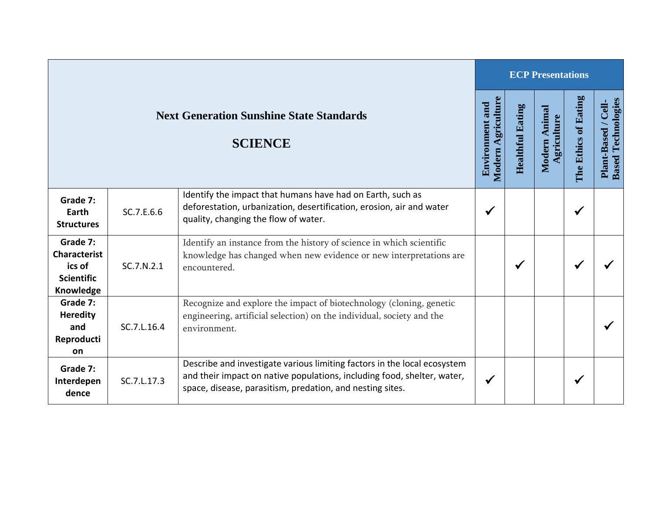|                                                                             |             |                                                                                                                                                                                                                  |   |                         | <b>ECP Presentations</b>     |                      |                                                  |  |  |  |  |  |
|-----------------------------------------------------------------------------|-------------|------------------------------------------------------------------------------------------------------------------------------------------------------------------------------------------------------------------|---|-------------------------|------------------------------|----------------------|--------------------------------------------------|--|--|--|--|--|
| <b>Next Generation Sunshine State Standards</b><br><b>SCIENCE</b>           |             |                                                                                                                                                                                                                  |   | <b>Healthful Eating</b> | Modern Animal<br>Agriculture | The Ethics of Eating | <b>Based Technologies</b><br>Plant-Based / Cell- |  |  |  |  |  |
| Grade 7:<br>Earth<br><b>Structures</b>                                      | SC.7.E.6.6  | Identify the impact that humans have had on Earth, such as<br>deforestation, urbanization, desertification, erosion, air and water<br>quality, changing the flow of water.                                       | ✔ |                         |                              | √                    |                                                  |  |  |  |  |  |
| Grade 7:<br><b>Characterist</b><br>ics of<br><b>Scientific</b><br>Knowledge | SC.7.N.2.1  | Identify an instance from the history of science in which scientific<br>knowledge has changed when new evidence or new interpretations are<br>encountered.                                                       |   | $\checkmark$            |                              | ✔                    |                                                  |  |  |  |  |  |
| Grade 7:<br><b>Heredity</b><br>and<br>Reproducti<br>on                      | SC.7.L.16.4 | Recognize and explore the impact of biotechnology (cloning, genetic<br>engineering, artificial selection) on the individual, society and the<br>environment.                                                     |   |                         |                              |                      |                                                  |  |  |  |  |  |
| Grade 7:<br>Interdepen<br>dence                                             | SC.7.L.17.3 | Describe and investigate various limiting factors in the local ecosystem<br>and their impact on native populations, including food, shelter, water,<br>space, disease, parasitism, predation, and nesting sites. | ✔ |                         |                              |                      |                                                  |  |  |  |  |  |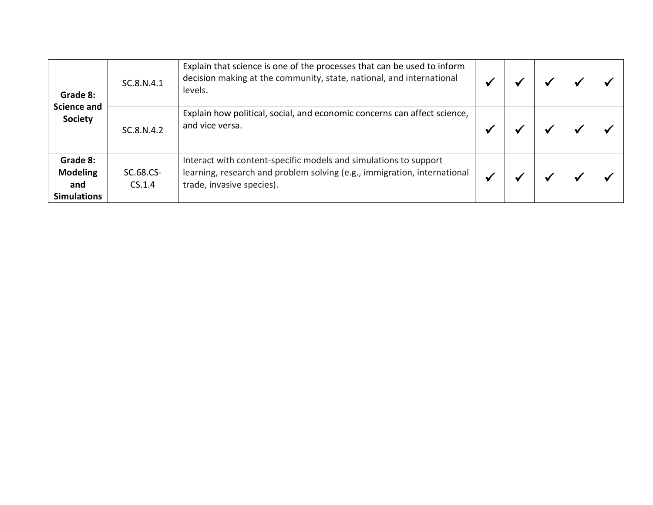| Grade 8:<br><b>Science and</b><br><b>Society</b>         | SC.8.N.4.1          | Explain that science is one of the processes that can be used to inform<br>decision making at the community, state, national, and international<br>levels.                |  |  |  |
|----------------------------------------------------------|---------------------|---------------------------------------------------------------------------------------------------------------------------------------------------------------------------|--|--|--|
|                                                          | SC.8.N.4.2          | Explain how political, social, and economic concerns can affect science,<br>and vice versa.                                                                               |  |  |  |
| Grade 8:<br><b>Modeling</b><br>and<br><b>Simulations</b> | SC.68.CS-<br>CS.1.4 | Interact with content-specific models and simulations to support<br>learning, research and problem solving (e.g., immigration, international<br>trade, invasive species). |  |  |  |